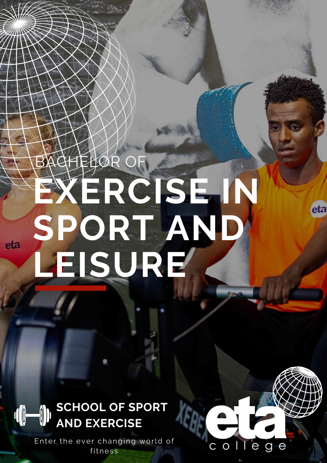# BACHELOR OF **[EXERCISE](https://www.etacollege.com/sports-management-courses/bachelor-of-sport-and-leisure-management/) IN SPORT AND LEISURE**

### **SCHOOL OF SPORT 16 AND EXERCISE**

eta

Enter the ever changing world of fitness



eta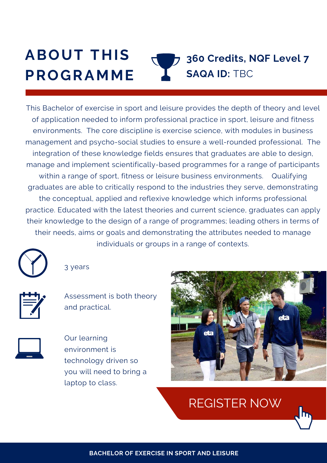#### **ABOUT THIS PROGRAMME 360 Credits, NQF Level 7 SAQA ID:** TBC

This Bachelor of exercise in sport and leisure provides the depth of theory and level of application needed to inform professional practice in sport, leisure and fitness environments. The core discipline is exercise science, with modules in business management and psycho-social studies to ensure a well-rounded professional. The integration of these knowledge fields ensures that graduates are able to design, manage and implement scientifically-based programmes for a range of participants within a range of sport, fitness or leisure business environments. Qualifying graduates are able to critically respond to the industries they serve, demonstrating the conceptual, applied and reflexive knowledge which informs professional practice. Educated with the latest theories and current science, graduates can apply their knowledge to the design of a range of programmes; leading others in terms of their needs, aims or goals and demonstrating the attributes needed to manage individuals or groups in a range of contexts.

3 years

Assessment is both theory and practical.



Our learning environment is technology driven so you will need to bring a laptop to class.



[REGISTER](https://www.etacollege.com/admissions/online-applications/) NOW

**BACHELOR OF EXERCISE IN SPORT AND LEISURE**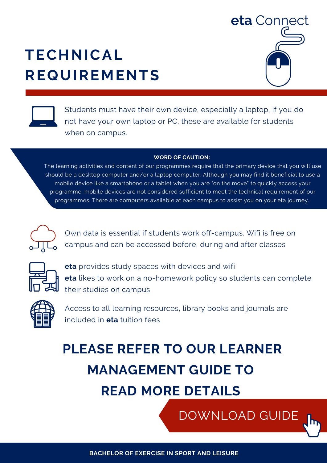# **TECHNICAL REQUIREMENTS**





Students must have their own device, especially a laptop. If you do not have your own laptop or PC, these are available for students when on campus.

#### **WORD OF CAUTION:**

The learning activities and content of our programmes require that the primary device that you will use should be a desktop computer and/or a laptop computer. Although you may find it beneficial to use a mobile device like a smartphone or a tablet when you are "on the move" to quickly access your programme, mobile devices are not considered sufficient to meet the technical requirement of our [programmes.](https://www.etacollege.com/admissions/online-applications/) There are computers available at each campus to assist you on your eta journey.



Own data is essential if students work off-campus. Wifi is free on campus and can be accessed before, during and after classes



**eta** provides study spaces with devices and wifi **eta** likes to work on a no-homework policy so students can complete their studies on campus



Access to all learning resources, library books and journals are included in **eta** tuition fees

# **PLEASE REFER TO OUR LEARNER MANAGEMENT GUIDE TO READ MORE DETAILS**

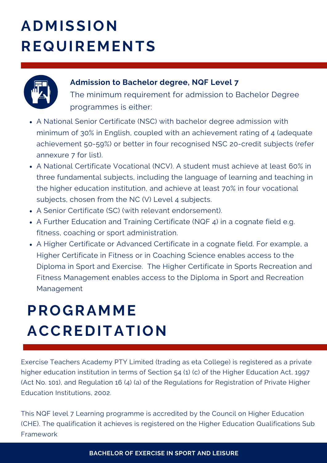# **ADMISSION REQUIREMENTS**



#### **Admission to Bachelor degree, NQF Level 7**

The minimum requirement for admission to Bachelor Degree programmes is either:

- A National Senior Certificate (NSC) with bachelor degree admission with minimum of 30% in English, coupled with an achievement rating of 4 (adequate achievement 50-59%) or better in four recognised NSC 20-credit subjects (refer annexure 7 for list).
- A National Certificate Vocational (NCV). A student must achieve at least 60% in three fundamental subjects, including the language of learning and teaching in the higher education institution, and achieve at least 70% in four vocational subjects, chosen from the NC (V) Level 4 subjects.
- A Senior Certificate (SC) (with relevant endorsement).
- A Further Education and Training Certificate (NQF 4) in a cognate field e.g. fitness, coaching or sport administration.
- A Higher Certificate or Advanced Certificate in a cognate field. For example, a Higher Certificate in Fitness or in Coaching Science enables access to the Diploma in Sport and Exercise. The Higher Certificate in Sports Recreation and Fitness Management enables access to the Diploma in Sport and Recreation Management

# **PROGRAMME ACCREDITATION**

Exercise Teachers Academy PTY Limited (trading as eta College) is registered as a private higher education institution in terms of Section 54 (1) (c) of the Higher Education Act, 1997 (Act No. 101), and Regulation 16 (4) (a) of the Regulations for Registration of Private Higher Education Institutions, 2002.

REGISTER NOW This NQF level 7 Learning programme is accredited by the Council on Higher Education (CHE). The qualification it achieves is registered on the Higher Education Qualifications Sub Framework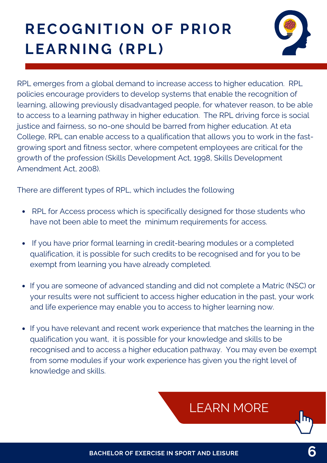# **RECOGNITION OF PRIOR LEARNING (RPL)**



RPL emerges from a global demand to increase access to higher education. RPL policies encourage providers to develop systems that enable the recognition of learning, allowing previously disadvantaged people, for whatever reason, to be able to access to a learning pathway in higher education. The RPL driving force is social justice and fairness, so no-one should be barred from higher education. At eta College, RPL can enable access to a qualification that allows you to work in the fastgrowing sport and fitness sector, where competent employees are critical for the growth of the profession (Skills Development Act, 1998, Skills Development Amendment Act, 2008).

There are different types of RPL, which includes the following

- RPL for Access process which is specifically designed for those students who have not been able to meet the minimum requirements for access.
- If you have prior formal learning in credit-bearing modules or a completed qualification, it is possible for such credits to be recognised and for you to be exempt from learning you have already completed.
- If you are someone of advanced standing and did not complete a Matric (NSC) or your results were not sufficient to access higher education in the past, your work and life experience may enable you to access to higher learning now.
- If you have relevant and recent work experience that matches the learning in the qualification you want, it is possible for your knowledge and skills to be recognised and to access a higher education pathway. You may even be exempt from some modules if your work experience has given you the right level of knowledge and skills.

### [LEARN](https://www.etacollege.com/educational-pathways/recognition-of-previous-education/) MORE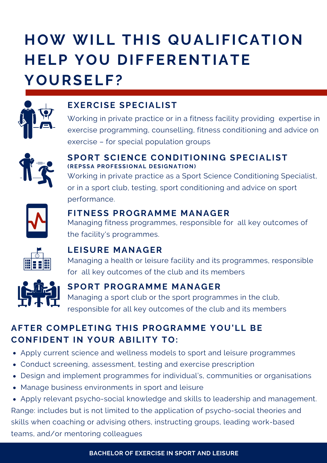# **HOW WILL THIS QUALIFICATION HELP YOU DIFFERENTIATE YOURSELF?**



#### **EXERCISE SPECIALIST**

Working in private practice or in a fitness facility providing expertise in exercise programming, counselling, fitness conditioning and advice on exercise – for special population groups



#### **SPORT SCIENCE CONDITIONING SPECIALIST (REPSSA PROFESSIONAL DESIGNATION)**

Working in private practice as a Sport Science Conditioning Specialist, or in a sport club, testing, sport conditioning and advice on sport performance.



#### **FITNESS PROGRAMME MANAGER**

Managing fitness programmes, responsible for all key outcomes of the facility's programmes.



#### **LEISURE MANAGER**

Managing a health or leisure facility and its programmes, responsible for all key outcomes of the club and its members



#### **SPORT PROGRAMME MANAGER**

Managing a sport club or the sport programmes in the club, responsible for all key outcomes of the club and its members

#### **AFTER COMPLETING THIS PROGRAMME YOU'LL BE CONFIDENT IN YOUR ABILITY TO:**

- Apply current science and wellness models to sport and leisure programmes
- Conduct screening, assessment, testing and exercise prescription
- Design and implement programmes for individual's, communities or organisations
- Manage business environments in sport and leisure

Apply relevant psycho-social knowledge and skills to leadership and management. Range: includes but is not limited to the application of psycho-social theories and skills when coaching or advising others, instructing groups, leading work-based teams, and/or mentoring colleagues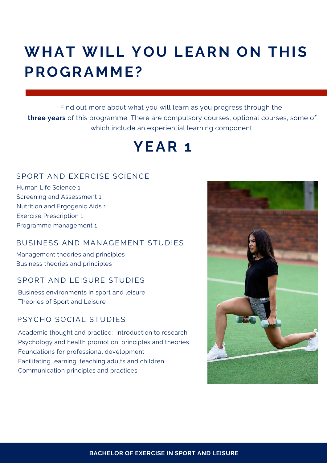### **WHAT WILL YOU LEARN ON THIS PROGRAMME?**

Find out more about what you will learn as you progress through the **three years** of this programme. There are compulsory courses, optional courses, some of which include an experiential learning component.

### **YEAR 1**

#### SPORT AND EXERCISE SCIENCE

Human Life Science 1 Screening and Assessment 1 Nutrition and Ergogenic Aids 1 Exercise Prescription 1 Programme management 1

#### BUSINESS AND MANAGEMENT STUDIES

Management theories and principles Business theories and principles

#### SPORT AND LEISURE STUDIES

Business environments in sport and leisure Theories of Sport and Leisure

#### PSYCHO SOCIAL STUDIES

Academic thought and practice: introduction to research Psychology and health promotion: principles and theories Foundations for professional development Facilitating learning: teaching adults and children Communication principles and practices

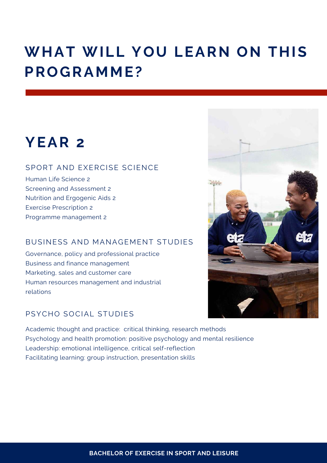### **WHAT WILL YOU LEARN ON THIS PROGRAMME?**

### **YEAR 2**

#### SPORT AND EXERCISE SCIENCE

Human Life Science 2 Screening and Assessment 2 Nutrition and Ergogenic Aids 2 Exercise Prescription 2 Programme management 2

#### BUSINESS AND MANAGEMENT STUDIES

Governance, policy and professional practice Business and finance management Marketing, sales and customer care Human resources management and industrial relations

#### PSYCHO SOCIAL STUDIES

Academic thought and practice: critical thinking, research methods Psychology and health promotion: positive psychology and mental resilience Leadership: emotional intelligence, critical self-reflection Facilitating learning: group instruction, presentation skills

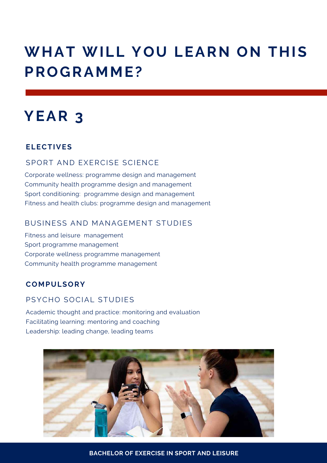### **WHAT WILL YOU LEARN ON THIS PROGRAMME?**

### **YEAR 3**

#### **ELECTIVES**

#### SPORT AND EXERCISE SCIENCE

Corporate wellness: programme design and management Community health programme design and management Sport conditioning: programme design and management Fitness and health clubs: programme design and management

#### BUSINESS AND MANAGEMENT STUDIES

Fitness and leisure management Sport programme management Corporate wellness programme management Community health programme management

#### **COMPULSORY**

#### PSYCHO SOCIAL STUDIES

Academic thought and practice: monitoring and evaluation Facilitating learning: mentoring and coaching Leadership: leading change, leading teams



**BACHELOR OF EXERCISE IN SPORT AND LEISURE**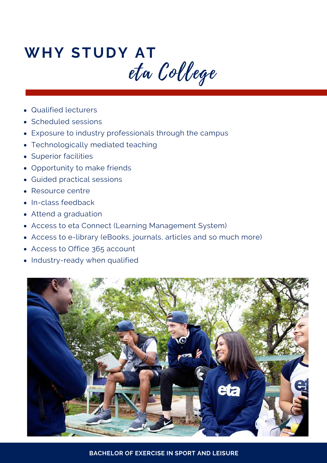# **WHY STUDY AT** eta College

- Qualified lecturers
- Scheduled sessions
- Exposure to industry professionals through the campus
- Technologically mediated teaching
- Superior facilities
- Opportunity to make friends
- Guided practical sessions
- Resource centre  $\bullet$
- In-class feedback
- Attend a graduation
- Access to eta Connect (Learning Management System)
- Access to e-library (eBooks, journals, articles and so much more)
- Access to Office 365 account
- Industry-ready when qualified



**BACHELOR OF EXERCISE IN SPORT AND LEISURE**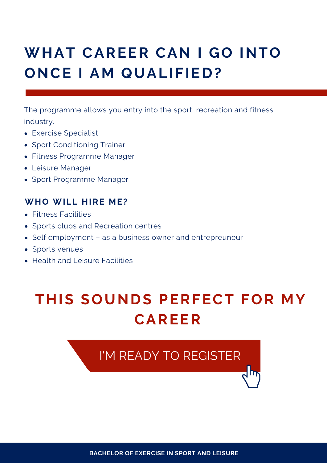# **WHAT CAREER CAN I GO INTO ONCE I AM QUALIFIED?**

The programme allows you entry into the sport, recreation and fitness industry.

- Exercise Specialist
- Sport Conditioning Trainer
- Fitness Programme Manager
- Leisure Manager
- Sport Programme Manager

#### **WHO WILL HIRE ME?**

- Fitness Facilities
- Sports clubs and Recreation centres
- Self employment as a business owner and entrepreuneur
- Sports venues
- Health and Leisure Facilities

### **THIS SOUNDS PERFECT FOR MY CAREER**

### I'M READY TO [REGISTER](https://www.etacollege.com/admissions/online-applications/)